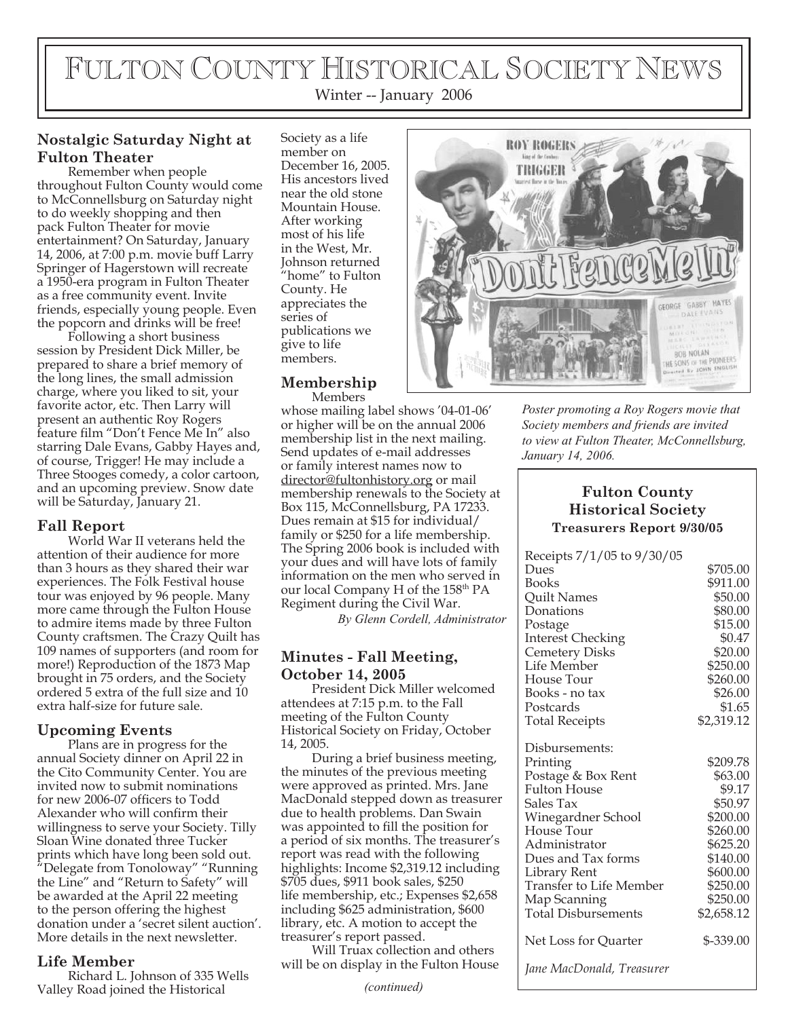# FULTON COUNTY HISTORICAL SOCIETY NEWS Winter -- January 2006

# **Nostalgic Saturday Night at Fulton Theater**

Remember when people throughout Fulton County would come to McConnellsburg on Saturday night to do weekly shopping and then pack Fulton Theater for movie entertainment? On Saturday, January 14, 2006, at 7:00 p.m. movie buff Larry Springer of Hagerstown will recreate a 1950-era program in Fulton Theater as a free community event. Invite friends, especially young people. Even the popcorn and drinks will be free!

Following a short business session by President Dick Miller, be prepared to share a brief memory of the long lines, the small admission charge, where you liked to sit, your favorite actor, etc. Then Larry will present an authentic Roy Rogers feature film "Don't Fence Me In" also starring Dale Evans, Gabby Hayes and, of course, Trigger! He may include a Three Stooges comedy, a color cartoon, and an upcoming preview. Snow date will be Saturday, January 21.

## **Fall Report**

World War II veterans held the attention of their audience for more than 3 hours as they shared their war experiences. The Folk Festival house tour was enjoyed by 96 people. Many more came through the Fulton House to admire items made by three Fulton County craftsmen. The Crazy Quilt has 109 names of supporters (and room for more!) Reproduction of the 1873 Map brought in 75 orders, and the Society ordered 5 extra of the full size and 10 extra half-size for future sale.

# **Upcoming Events**

Plans are in progress for the annual Society dinner on April 22 in the Cito Community Center. You are invited now to submit nominations for new 2006-07 officers to Todd Alexander who will confirm their willingness to serve your Society. Tilly Sloan Wine donated three Tucker prints which have long been sold out. "Delegate from Tonoloway" "Running the Line" and "Return to Safety" will be awarded at the April 22 meeting to the person offering the highest donation under a 'secret silent auction'. More details in the next newsletter.

## **Life Member**

Richard L. Johnson of 335 Wells Valley Road joined the Historical

Society as a life member on December 16, 2005. His ancestors lived near the old stone Mountain House. After working most of his life in the West, Mr. Johnson returned "home" to Fulton County. He appreciates the series of publications we give to life members.

#### **Membership** Members

whose mailing label shows '04-01-06' or higher will be on the annual 2006 membership list in the next mailing. Send updates of e-mail addresses or family interest names now to director@fultonhistory.org or mail membership renewals to the Society at Box 115, McConnellsburg, PA 17233. Dues remain at \$15 for individual/ family or \$250 for a life membership. The Spring 2006 book is included with your dues and will have lots of family information on the men who served in our local Company H of the 158<sup>th</sup> PA Regiment during the Civil War.

*By Glenn Cordell, Administrator*

# **Minutes - Fall Meeting, October 14, 2005**

President Dick Miller welcomed attendees at 7:15 p.m. to the Fall meeting of the Fulton County Historical Society on Friday, October 14, 2005.

During a brief business meeting, the minutes of the previous meeting were approved as printed. Mrs. Jane MacDonald stepped down as treasurer due to health problems. Dan Swain was appointed to fill the position for a period of six months. The treasurer's report was read with the following highlights: Income \$2,319.12 including \$705 dues, \$911 book sales, \$250 life membership, etc.; Expenses \$2,658 including \$625 administration, \$600 library, etc. A motion to accept the treasurer's report passed.

Will Truax collection and others will be on display in the Fulton House

*(continued)*



*Poster promoting a Roy Rogers movie that Society members and friends are invited to view at Fulton Theater, McConnellsburg, January 14, 2006.*

### **Fulton County Historical Society Treasurers Report 9/30/05**

| Receipts 7/1/05 to 9/30/05     |            |
|--------------------------------|------------|
| Dues                           | \$705.00   |
| <b>Books</b>                   | \$911.00   |
| <b>Quilt Names</b>             | \$50.00    |
| Donations                      | \$80.00    |
| Postage                        | \$15.00    |
| <b>Interest Checking</b>       | \$0.47     |
| <b>Cemetery Disks</b>          | \$20.00    |
| Life Member                    | \$250.00   |
| House Tour                     | \$260.00   |
| Books - no tax                 | \$26.00    |
| Postcards                      | \$1.65     |
| <b>Total Receipts</b>          | \$2,319.12 |
| Disbursements:                 |            |
| Printing                       | \$209.78   |
| Postage & Box Rent             | \$63.00    |
| <b>Fulton House</b>            | \$9.17     |
| Sales Tax                      | \$50.97    |
| Winegardner School             | \$200.00   |
| House Tour                     | \$260.00   |
| Administrator                  | \$625.20   |
| Dues and Tax forms             | \$140.00   |
| Library Rent                   | \$600.00   |
| <b>Transfer to Life Member</b> | \$250.00   |
| Map Scanning                   | \$250.00   |
| <b>Total Disbursements</b>     | \$2,658.12 |
| Net Loss for Quarter           | \$-339.00  |
| Jane MacDonald, Treasurer      |            |